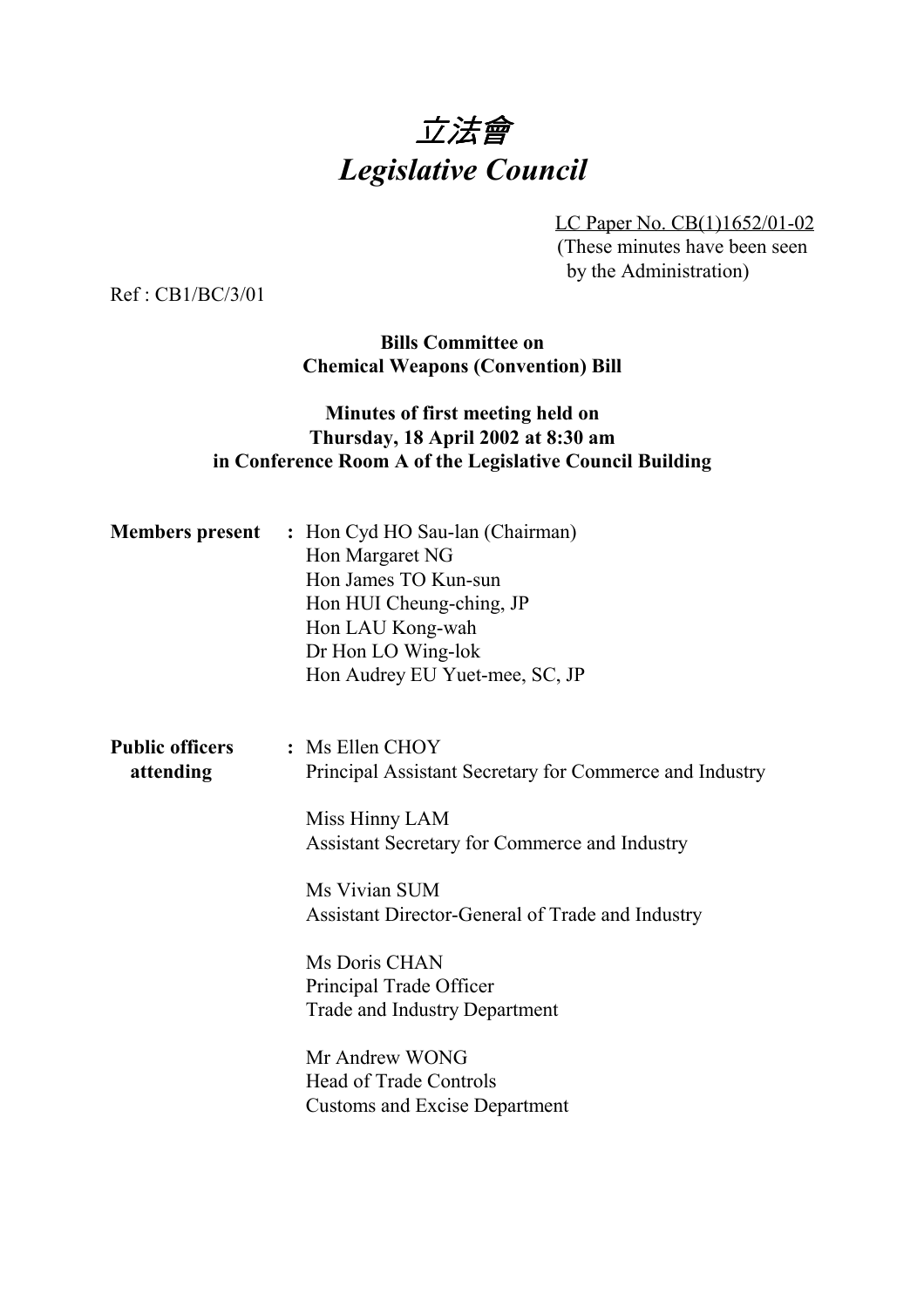# 立法會 *Legislative Council*

LC Paper No. CB(1)1652/01-02 (These minutes have been seen by the Administration)

Ref : CB1/BC/3/01

**Bills Committee on Chemical Weapons (Convention) Bill**

## **Minutes of first meeting held on Thursday, 18 April 2002 at 8:30 am in Conference Room A of the Legislative Council Building**

|                                     | <b>Members present</b> : Hon Cyd HO Sau-lan (Chairman)<br>Hon Margaret NG<br>Hon James TO Kun-sun<br>Hon HUI Cheung-ching, JP<br>Hon LAU Kong-wah<br>Dr Hon LO Wing-lok<br>Hon Audrey EU Yuet-mee, SC, JP                       |
|-------------------------------------|---------------------------------------------------------------------------------------------------------------------------------------------------------------------------------------------------------------------------------|
| <b>Public officers</b><br>attending | : Ms Ellen CHOY<br>Principal Assistant Secretary for Commerce and Industry<br>Miss Hinny LAM<br>Assistant Secretary for Commerce and Industry<br>Ms Vivian SUM                                                                  |
|                                     | Assistant Director-General of Trade and Industry<br>Ms Doris CHAN<br>Principal Trade Officer<br><b>Trade and Industry Department</b><br>Mr Andrew WONG<br><b>Head of Trade Controls</b><br><b>Customs and Excise Department</b> |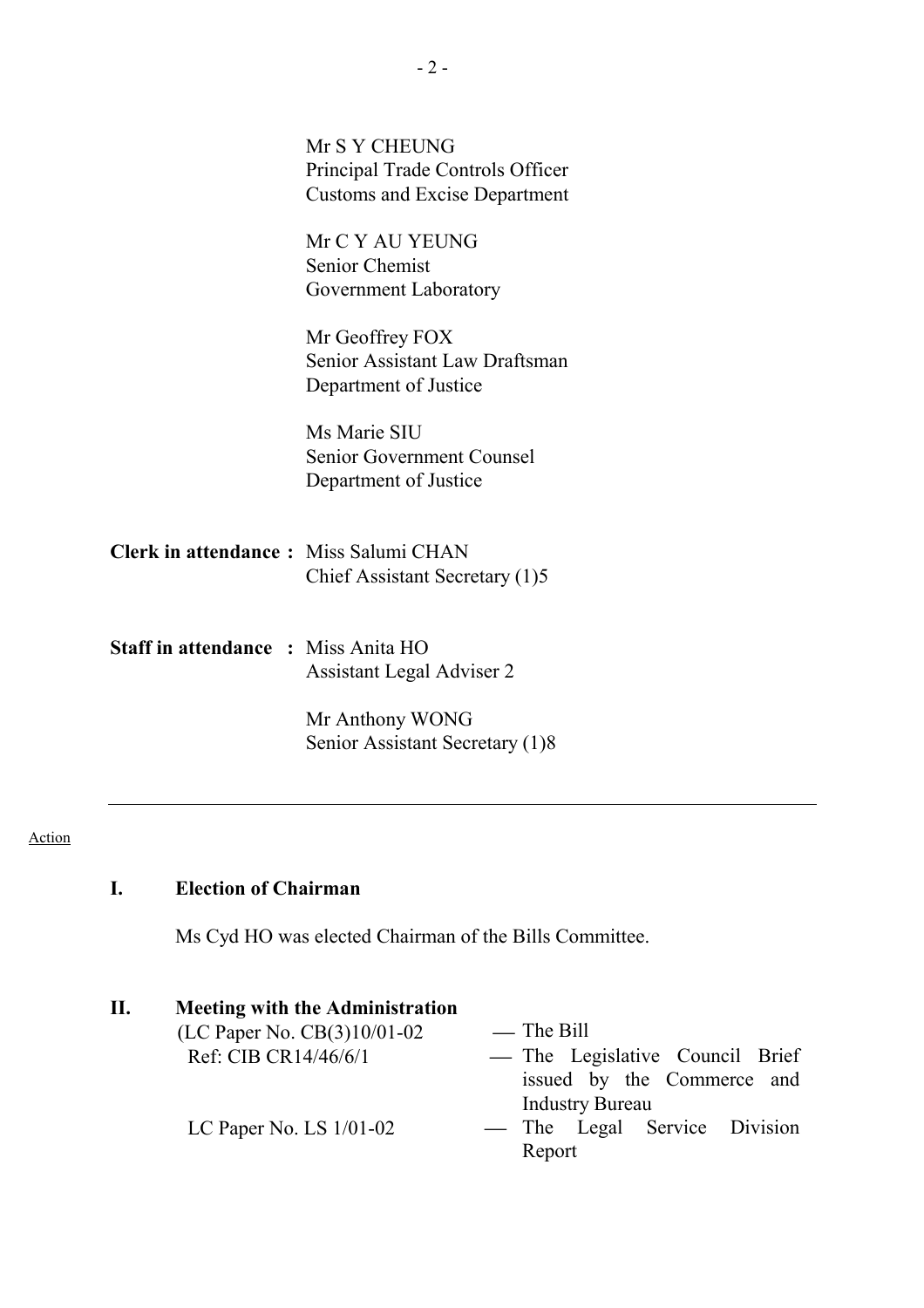|                                            | Mr S Y CHEUNG<br>Principal Trade Controls Officer<br><b>Customs and Excise Department</b> |
|--------------------------------------------|-------------------------------------------------------------------------------------------|
|                                            | Mr C Y AU YEUNG<br><b>Senior Chemist</b><br>Government Laboratory                         |
|                                            | Mr Geoffrey FOX<br>Senior Assistant Law Draftsman<br>Department of Justice                |
|                                            | Ms Marie SIU<br>Senior Government Counsel<br>Department of Justice                        |
| Clerk in attendance: Miss Salumi CHAN      | Chief Assistant Secretary (1)5                                                            |
| <b>Staff in attendance : Miss Anita HO</b> | Assistant Legal Adviser 2                                                                 |
|                                            | Mr Anthony WONG<br>Senior Assistant Secretary (1)8                                        |

#### Action

# **I. Election of Chairman**

Ms Cyd HO was elected Chairman of the Bills Committee.

| П. | <b>Meeting with the Administration</b> |                                 |
|----|----------------------------------------|---------------------------------|
|    | (LC Paper No. $CB(3)10/01-02$          | — The Bill                      |
|    | Ref: CIB CR14/46/6/1                   | — The Legislative Council Brief |
|    |                                        | issued by the Commerce and      |
|    |                                        | <b>Industry Bureau</b>          |
|    | LC Paper No. LS $1/01-02$              | — The Legal Service Division    |
|    |                                        | Report                          |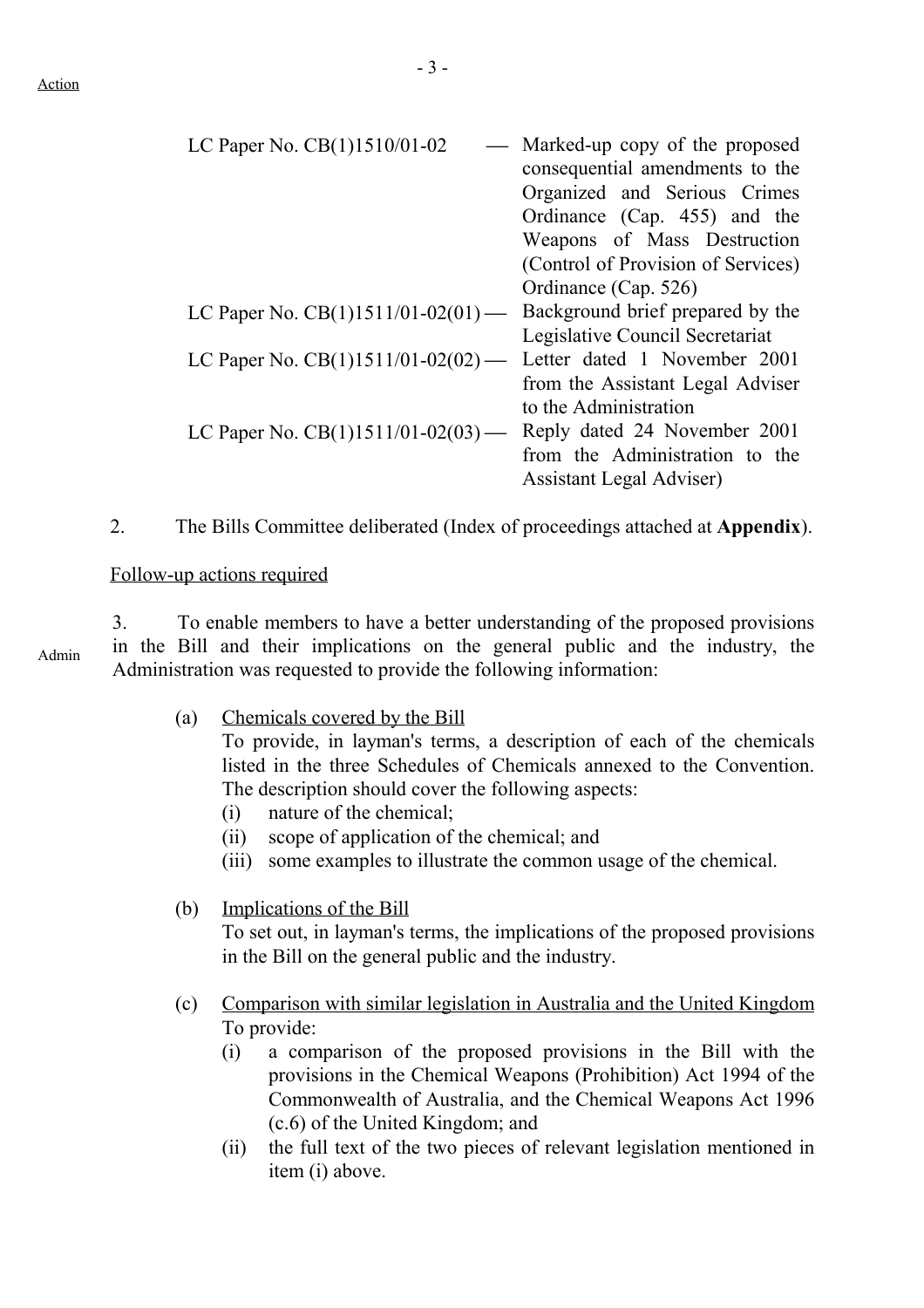| LC Paper No. CB(1)1510/01-02         | Marked-up copy of the proposed<br>consequential amendments to the<br>Organized and Serious Crimes<br>Ordinance (Cap. 455) and the<br>Weapons of Mass Destruction<br>(Control of Provision of Services) |
|--------------------------------------|--------------------------------------------------------------------------------------------------------------------------------------------------------------------------------------------------------|
|                                      | Ordinance (Cap. 526)                                                                                                                                                                                   |
| LC Paper No. $CB(1)1511/01-02(01)$ — | Background brief prepared by the                                                                                                                                                                       |
|                                      | Legislative Council Secretariat                                                                                                                                                                        |
| LC Paper No. $CB(1)1511/01-02(02)$ — | Letter dated 1 November 2001                                                                                                                                                                           |
|                                      | from the Assistant Legal Adviser                                                                                                                                                                       |
|                                      | to the Administration                                                                                                                                                                                  |
| LC Paper No. $CB(1)1511/01-02(03)$ — | Reply dated 24 November 2001                                                                                                                                                                           |
|                                      | from the Administration to the                                                                                                                                                                         |
|                                      | <b>Assistant Legal Adviser</b> )                                                                                                                                                                       |
|                                      |                                                                                                                                                                                                        |

2. The Bills Committee deliberated (Index of proceedings attached at **Appendix**).

#### Follow-up actions required

3. To enable members to have a better understanding of the proposed provisions in the Bill and their implications on the general public and the industry, the Administration was requested to provide the following information:

(a) Chemicals covered by the Bill

To provide, in layman's terms, a description of each of the chemicals listed in the three Schedules of Chemicals annexed to the Convention. The description should cover the following aspects:

- (i) nature of the chemical;
- (ii) scope of application of the chemical; and
- (iii) some examples to illustrate the common usage of the chemical.

### (b) Implications of the Bill

To set out, in layman's terms, the implications of the proposed provisions in the Bill on the general public and the industry.

- (c) Comparison with similar legislation in Australia and the United Kingdom To provide:
	- (i) a comparison of the proposed provisions in the Bill with the provisions in the Chemical Weapons (Prohibition) Act 1994 of the Commonwealth of Australia, and the Chemical Weapons Act 1996 (c.6) of the United Kingdom; and
	- (ii) the full text of the two pieces of relevant legislation mentioned in item (i) above.

Admin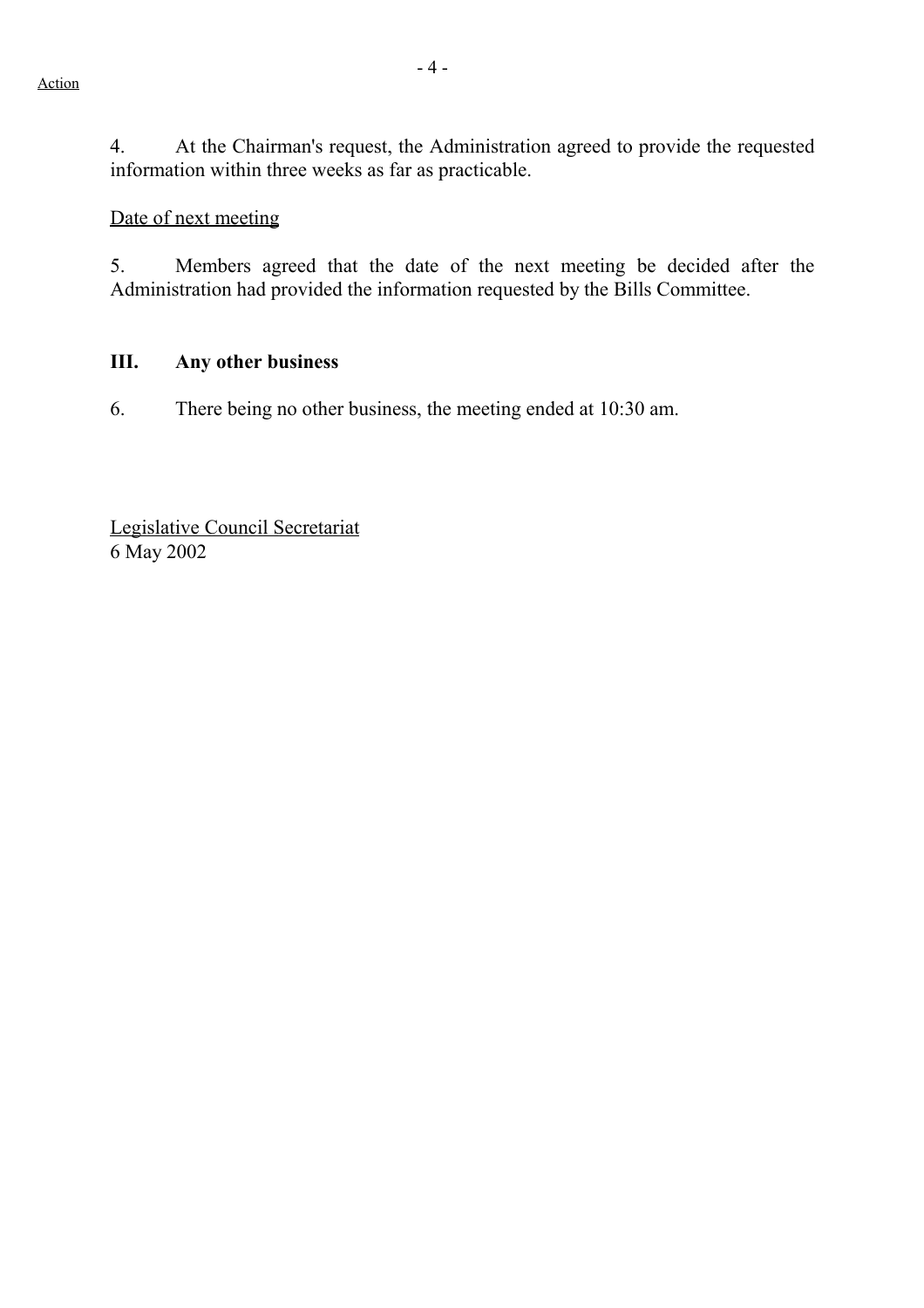4. At the Chairman's request, the Administration agreed to provide the requested information within three weeks as far as practicable.

# Date of next meeting

5. Members agreed that the date of the next meeting be decided after the Administration had provided the information requested by the Bills Committee.

#### **III. Any other business**

6. There being no other business, the meeting ended at 10:30 am.

Legislative Council Secretariat 6 May 2002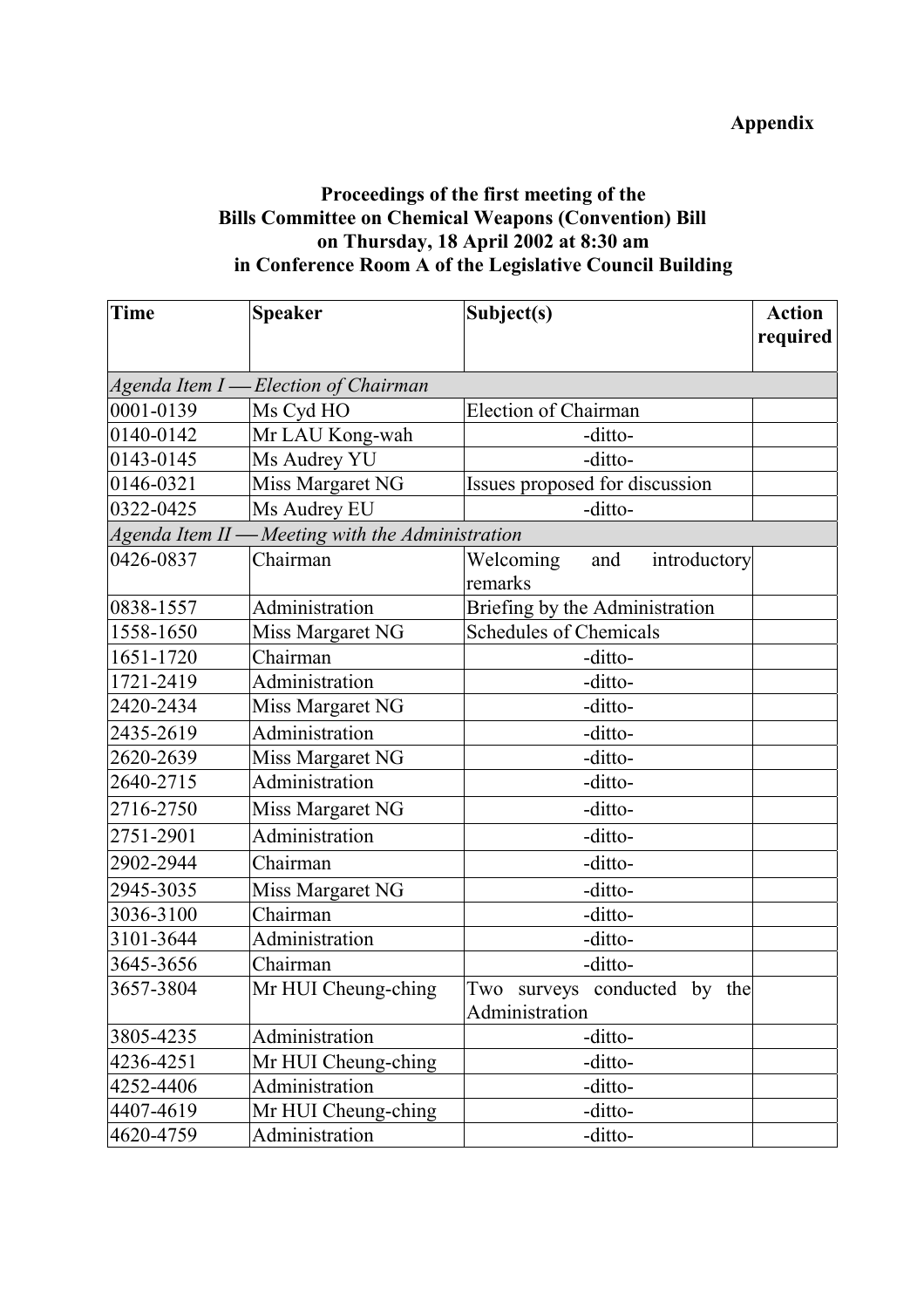# **Appendix**

# **Proceedings of the first meeting of the Bills Committee on Chemical Weapons (Convention) Bill on Thursday, 18 April 2002 at 8:30 am in Conference Room A of the Legislative Council Building**

| Time                                    | <b>Speaker</b>                                   | Subject(s)                       | <b>Action</b> |
|-----------------------------------------|--------------------------------------------------|----------------------------------|---------------|
|                                         |                                                  |                                  | required      |
|                                         |                                                  |                                  |               |
| Agenda Item I-<br>-Election of Chairman |                                                  |                                  |               |
| 0001-0139                               | Ms Cyd HO                                        | <b>Election of Chairman</b>      |               |
| 0140-0142                               | Mr LAU Kong-wah                                  | -ditto-                          |               |
| 0143-0145                               | Ms Audrey YU                                     | -ditto-                          |               |
| 0146-0321                               | Miss Margaret NG                                 | Issues proposed for discussion   |               |
| 0322-0425                               | Ms Audrey EU                                     | -ditto-                          |               |
|                                         | Agenda Item II - Meeting with the Administration |                                  |               |
| 0426-0837                               | Chairman                                         | Welcoming<br>introductory<br>and |               |
|                                         |                                                  | remarks                          |               |
| 0838-1557                               | Administration                                   | Briefing by the Administration   |               |
| 1558-1650                               | Miss Margaret NG                                 | <b>Schedules of Chemicals</b>    |               |
| 1651-1720                               | Chairman                                         | -ditto-                          |               |
| 1721-2419                               | Administration                                   | -ditto-                          |               |
| 2420-2434                               | Miss Margaret NG                                 | -ditto-                          |               |
| 2435-2619                               | Administration                                   | -ditto-                          |               |
| 2620-2639                               | Miss Margaret NG                                 | -ditto-                          |               |
| 2640-2715                               | Administration                                   | -ditto-                          |               |
| 2716-2750                               | Miss Margaret NG                                 | -ditto-                          |               |
| 2751-2901                               | Administration                                   | -ditto-                          |               |
| 2902-2944                               | Chairman                                         | -ditto-                          |               |
| 2945-3035                               | Miss Margaret NG                                 | -ditto-                          |               |
| 3036-3100                               | Chairman                                         | -ditto-                          |               |
| 3101-3644                               | Administration                                   | -ditto-                          |               |
| 3645-3656                               | Chairman                                         | -ditto-                          |               |
| 3657-3804                               | Mr HUI Cheung-ching                              | Two surveys conducted by the     |               |
|                                         |                                                  | Administration                   |               |
| 3805-4235                               | Administration                                   | -ditto-                          |               |
| 4236-4251                               | Mr HUI Cheung-ching                              | -ditto-                          |               |
| 4252-4406                               | Administration                                   | -ditto-                          |               |
| 4407-4619                               | Mr HUI Cheung-ching                              | -ditto-                          |               |
| 4620-4759                               | Administration                                   | -ditto-                          |               |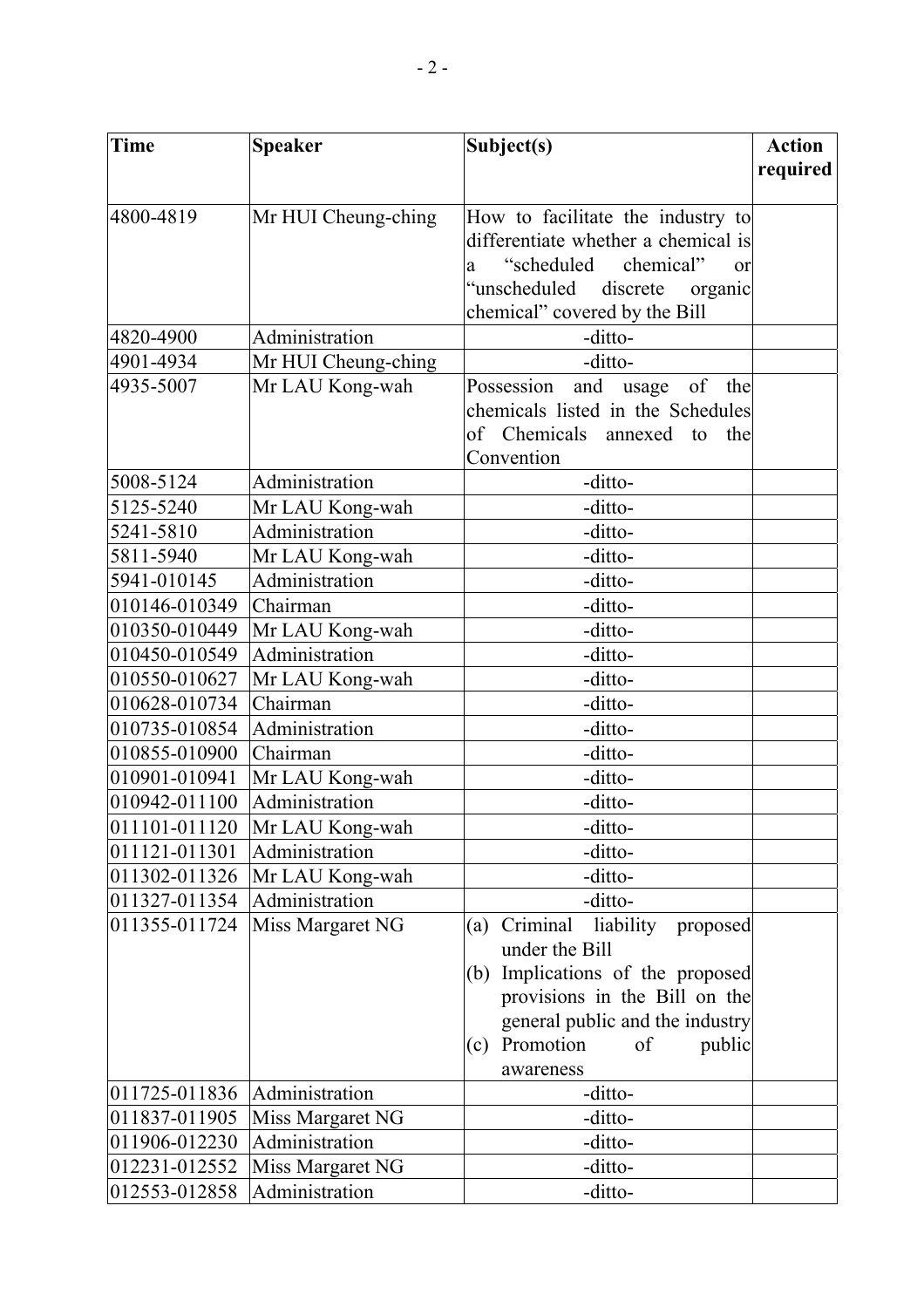| <b>Time</b>   | <b>Speaker</b>      | Subject(s)                               | <b>Action</b> |
|---------------|---------------------|------------------------------------------|---------------|
|               |                     |                                          | required      |
|               |                     |                                          |               |
| 4800-4819     | Mr HUI Cheung-ching | How to facilitate the industry to        |               |
|               |                     | differentiate whether a chemical is      |               |
|               |                     | "scheduled<br>chemical"<br>or<br>a       |               |
|               |                     | "unscheduled discrete"<br>organic        |               |
|               |                     | chemical" covered by the Bill            |               |
| 4820-4900     | Administration      | -ditto-                                  |               |
| 4901-4934     | Mr HUI Cheung-ching | -ditto-                                  |               |
| 4935-5007     | Mr LAU Kong-wah     | and usage of the<br>Possession           |               |
|               |                     | chemicals listed in the Schedules        |               |
|               |                     | of Chemicals annexed to the              |               |
|               |                     | Convention                               |               |
| 5008-5124     | Administration      | -ditto-                                  |               |
| 5125-5240     | Mr LAU Kong-wah     | -ditto-                                  |               |
| 5241-5810     | Administration      | -ditto-                                  |               |
| 5811-5940     | Mr LAU Kong-wah     | -ditto-                                  |               |
| 5941-010145   | Administration      | -ditto-                                  |               |
| 010146-010349 | Chairman            | -ditto-                                  |               |
| 010350-010449 | Mr LAU Kong-wah     | -ditto-                                  |               |
| 010450-010549 | Administration      | -ditto-                                  |               |
| 010550-010627 | Mr LAU Kong-wah     | -ditto-                                  |               |
| 010628-010734 | Chairman            | -ditto-                                  |               |
| 010735-010854 | Administration      | -ditto-                                  |               |
| 010855-010900 | Chairman            | -ditto-                                  |               |
| 010901-010941 | Mr LAU Kong-wah     | -ditto-                                  |               |
| 010942-011100 | Administration      | -ditto-                                  |               |
| 011101-011120 | Mr LAU Kong-wah     | -ditto-                                  |               |
| 011121-011301 | Administration      | -ditto-                                  |               |
| 011302-011326 | Mr LAU Kong-wah     | -ditto-                                  |               |
| 011327-011354 | Administration      | -ditto-                                  |               |
| 011355-011724 | Miss Margaret NG    | Criminal<br>liability<br>proposed<br>(a) |               |
|               |                     | under the Bill                           |               |
|               |                     | Implications of the proposed<br>(b)      |               |
|               |                     | provisions in the Bill on the            |               |
|               |                     | general public and the industry          |               |
|               |                     | Promotion<br>of<br>public<br>(c)         |               |
|               |                     | awareness                                |               |
| 011725-011836 | Administration      | -ditto-                                  |               |
| 011837-011905 | Miss Margaret NG    | -ditto-                                  |               |
| 011906-012230 | Administration      | -ditto-                                  |               |
| 012231-012552 | Miss Margaret NG    | -ditto-                                  |               |
| 012553-012858 | Administration      | -ditto-                                  |               |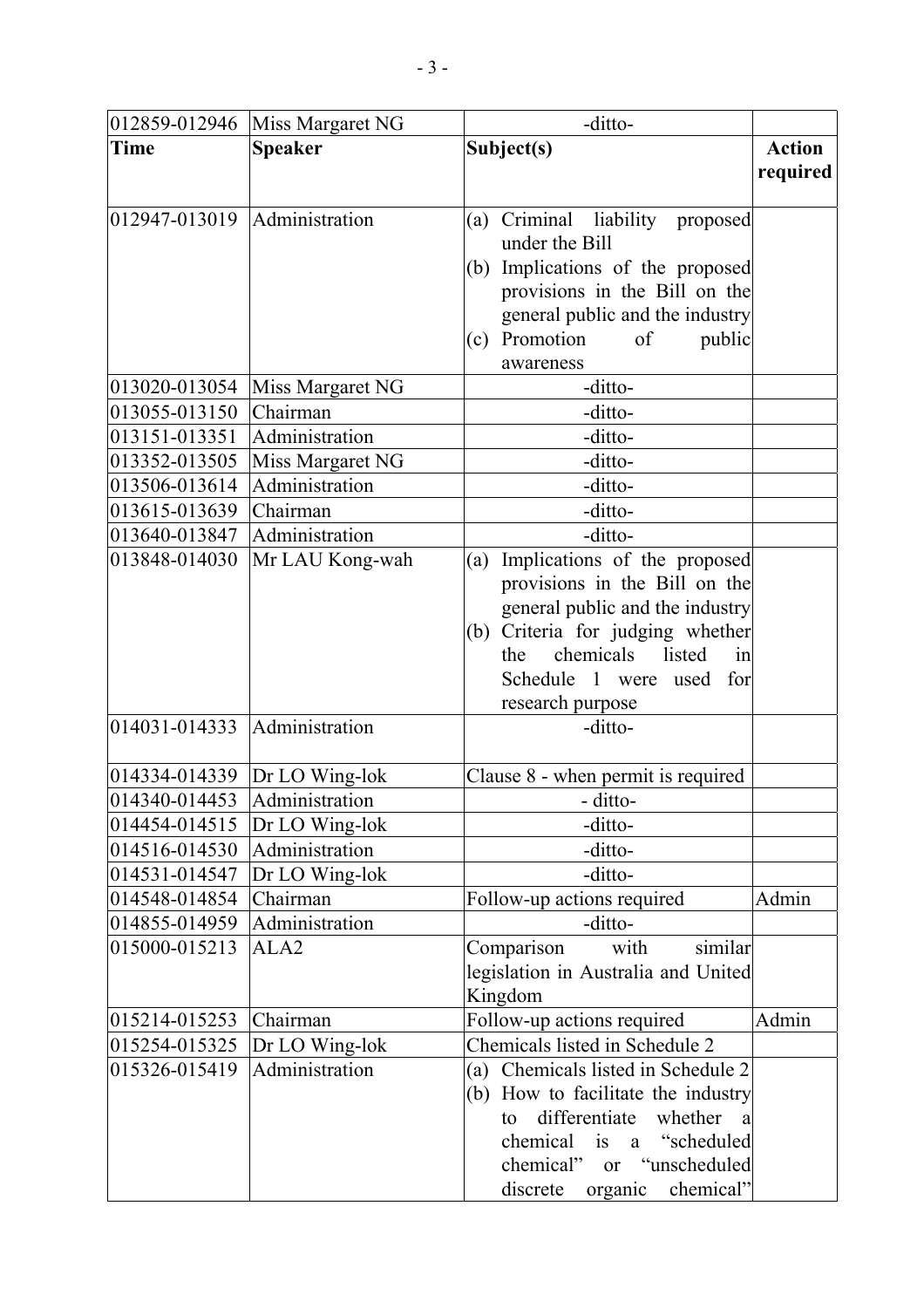|                                  | 012859-012946 Miss Margaret NG   | -ditto-                             |               |
|----------------------------------|----------------------------------|-------------------------------------|---------------|
| <b>Time</b>                      | <b>Speaker</b>                   | Subject(s)                          | <b>Action</b> |
|                                  |                                  |                                     | required      |
|                                  |                                  |                                     |               |
| $012947 - 013019$ Administration |                                  | Criminal liability proposed<br>(a)  |               |
|                                  |                                  | under the Bill                      |               |
|                                  |                                  | Implications of the proposed<br>(b) |               |
|                                  |                                  | provisions in the Bill on the       |               |
|                                  |                                  | general public and the industry     |               |
|                                  |                                  | Promotion<br>of<br>public<br>(c)    |               |
|                                  |                                  | awareness                           |               |
| 013020-013054                    | Miss Margaret NG                 | -ditto-                             |               |
| 013055-013150                    | Chairman                         | -ditto-                             |               |
| 013151-013351                    | Administration                   | -ditto-                             |               |
| 013352-013505                    | Miss Margaret NG                 | -ditto-                             |               |
| 013506-013614                    | Administration                   | -ditto-                             |               |
| 013615-013639                    | Chairman                         | -ditto-                             |               |
| 013640-013847                    | Administration                   | -ditto-                             |               |
| 013848-014030                    | Mr LAU Kong-wah                  | Implications of the proposed<br>(a) |               |
|                                  |                                  | provisions in the Bill on the       |               |
|                                  |                                  | general public and the industry     |               |
|                                  |                                  | (b) Criteria for judging whether    |               |
|                                  |                                  | chemicals<br>listed<br>the<br>in    |               |
|                                  |                                  | Schedule 1 were used for            |               |
|                                  |                                  | research purpose                    |               |
| 014031-014333                    | Administration                   | -ditto-                             |               |
|                                  |                                  |                                     |               |
| 014334-014339                    | Dr LO Wing-lok                   | Clause 8 - when permit is required  |               |
| 014340-014453                    | Administration                   | - ditto-                            |               |
|                                  | $ 014454-014515 $ Dr LO Wing-lok | -ditto-                             |               |
| 014516-014530                    | Administration                   | -ditto-                             |               |
| 014531-014547                    | Dr LO Wing-lok                   | -ditto-                             |               |
| 014548-014854                    | Chairman                         | Follow-up actions required          | Admin         |
| 014855-014959                    | Administration                   | -ditto-                             |               |
| 015000-015213                    | ALA <sub>2</sub>                 | Comparison<br>with<br>similar       |               |
|                                  |                                  | legislation in Australia and United |               |
|                                  |                                  | Kingdom                             |               |
| 015214-015253                    | Chairman                         | Follow-up actions required          | Admin         |
| 015254-015325                    | Dr LO Wing-lok                   | Chemicals listed in Schedule 2      |               |
| 015326-015419                    | Administration                   | (a) Chemicals listed in Schedule 2  |               |
|                                  |                                  | (b) How to facilitate the industry  |               |
|                                  |                                  | differentiate<br>whether<br>to<br>a |               |
|                                  |                                  | chemical is a "scheduled"           |               |
|                                  |                                  | or "unscheduled<br>chemical"        |               |
|                                  |                                  | chemical"<br>discrete<br>organic    |               |